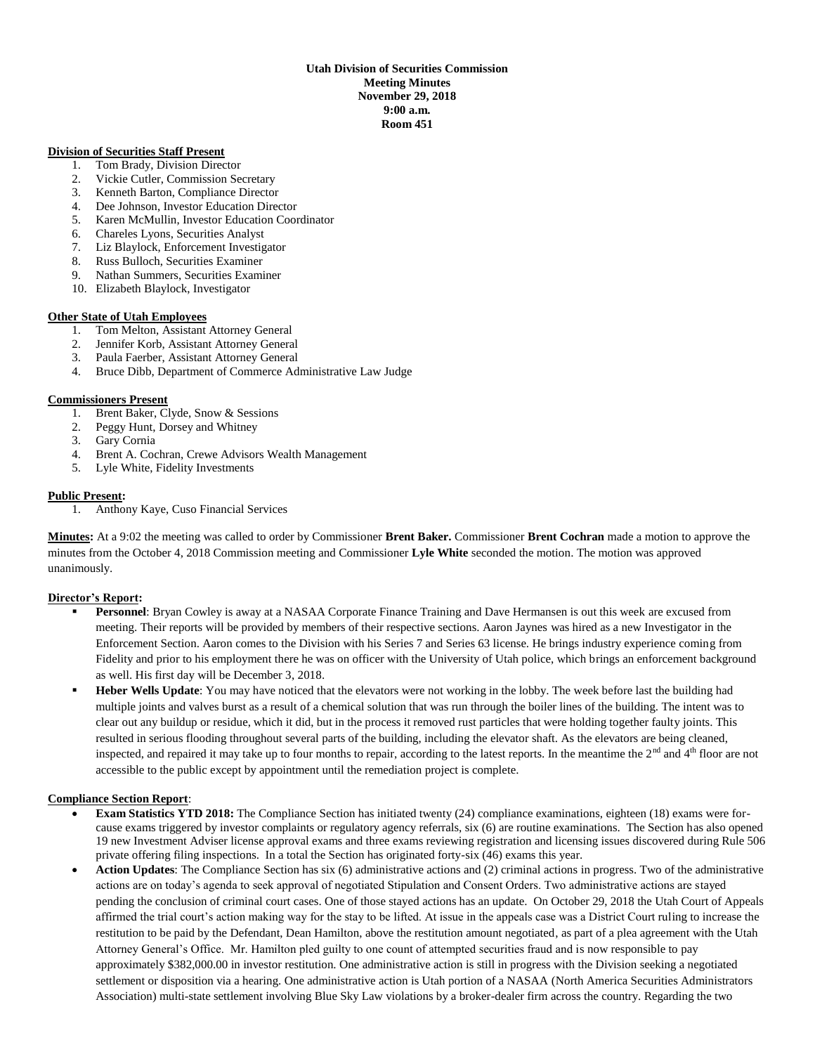## **Utah Division of Securities Commission Meeting Minutes November 29, 2018 9:00 a.m. Room 451**

### **Division of Securities Staff Present**

- 1. Tom Brady, Division Director
- 2. Vickie Cutler, Commission Secretary
- 3. Kenneth Barton, Compliance Director
- 4. Dee Johnson, Investor Education Director
- 5. Karen McMullin, Investor Education Coordinator
- 6. Chareles Lyons, Securities Analyst
- 7. Liz Blaylock, Enforcement Investigator
- 8. Russ Bulloch, Securities Examiner
- 9. Nathan Summers, Securities Examiner
- 10. Elizabeth Blaylock, Investigator

## **Other State of Utah Employees**

- 1. Tom Melton, Assistant Attorney General
- 2. Jennifer Korb, Assistant Attorney General
- 3. Paula Faerber, Assistant Attorney General
- 4. Bruce Dibb, Department of Commerce Administrative Law Judge

## **Commissioners Present**

- 1. Brent Baker, Clyde, Snow & Sessions
- 2. Peggy Hunt, Dorsey and Whitney
- 3. Gary Cornia
- 4. Brent A. Cochran, Crewe Advisors Wealth Management
- 5. Lyle White, Fidelity Investments

## **Public Present:**

1. Anthony Kaye, Cuso Financial Services

**Minutes:** At a 9:02 the meeting was called to order by Commissioner **Brent Baker.** Commissioner **Brent Cochran** made a motion to approve the minutes from the October 4, 2018 Commission meeting and Commissioner **Lyle White** seconded the motion. The motion was approved unanimously.

# **Director's Report:**

- **Personnel**: Bryan Cowley is away at a NASAA Corporate Finance Training and Dave Hermansen is out this week are excused from meeting. Their reports will be provided by members of their respective sections. Aaron Jaynes was hired as a new Investigator in the Enforcement Section. Aaron comes to the Division with his Series 7 and Series 63 license. He brings industry experience coming from Fidelity and prior to his employment there he was on officer with the University of Utah police, which brings an enforcement background as well. His first day will be December 3, 2018.
- **Heber Wells Update**: You may have noticed that the elevators were not working in the lobby. The week before last the building had multiple joints and valves burst as a result of a chemical solution that was run through the boiler lines of the building. The intent was to clear out any buildup or residue, which it did, but in the process it removed rust particles that were holding together faulty joints. This resulted in serious flooding throughout several parts of the building, including the elevator shaft. As the elevators are being cleaned, inspected, and repaired it may take up to four months to repair, according to the latest reports. In the meantime the  $2<sup>nd</sup>$  and  $4<sup>th</sup>$  floor are not accessible to the public except by appointment until the remediation project is complete.

# **Compliance Section Report**:

- **Exam Statistics YTD 2018:** The Compliance Section has initiated twenty (24) compliance examinations, eighteen (18) exams were forcause exams triggered by investor complaints or regulatory agency referrals, six (6) are routine examinations. The Section has also opened 19 new Investment Adviser license approval exams and three exams reviewing registration and licensing issues discovered during Rule 506 private offering filing inspections. In a total the Section has originated forty-six (46) exams this year.
- **Action Updates**: The Compliance Section has six (6) administrative actions and (2) criminal actions in progress. Two of the administrative actions are on today's agenda to seek approval of negotiated Stipulation and Consent Orders. Two administrative actions are stayed pending the conclusion of criminal court cases. One of those stayed actions has an update. On October 29, 2018 the Utah Court of Appeals affirmed the trial court's action making way for the stay to be lifted. At issue in the appeals case was a District Court ruling to increase the restitution to be paid by the Defendant, Dean Hamilton, above the restitution amount negotiated, as part of a plea agreement with the Utah Attorney General's Office. Mr. Hamilton pled guilty to one count of attempted securities fraud and is now responsible to pay approximately \$382,000.00 in investor restitution. One administrative action is still in progress with the Division seeking a negotiated settlement or disposition via a hearing. One administrative action is Utah portion of a NASAA (North America Securities Administrators Association) multi-state settlement involving Blue Sky Law violations by a broker-dealer firm across the country. Regarding the two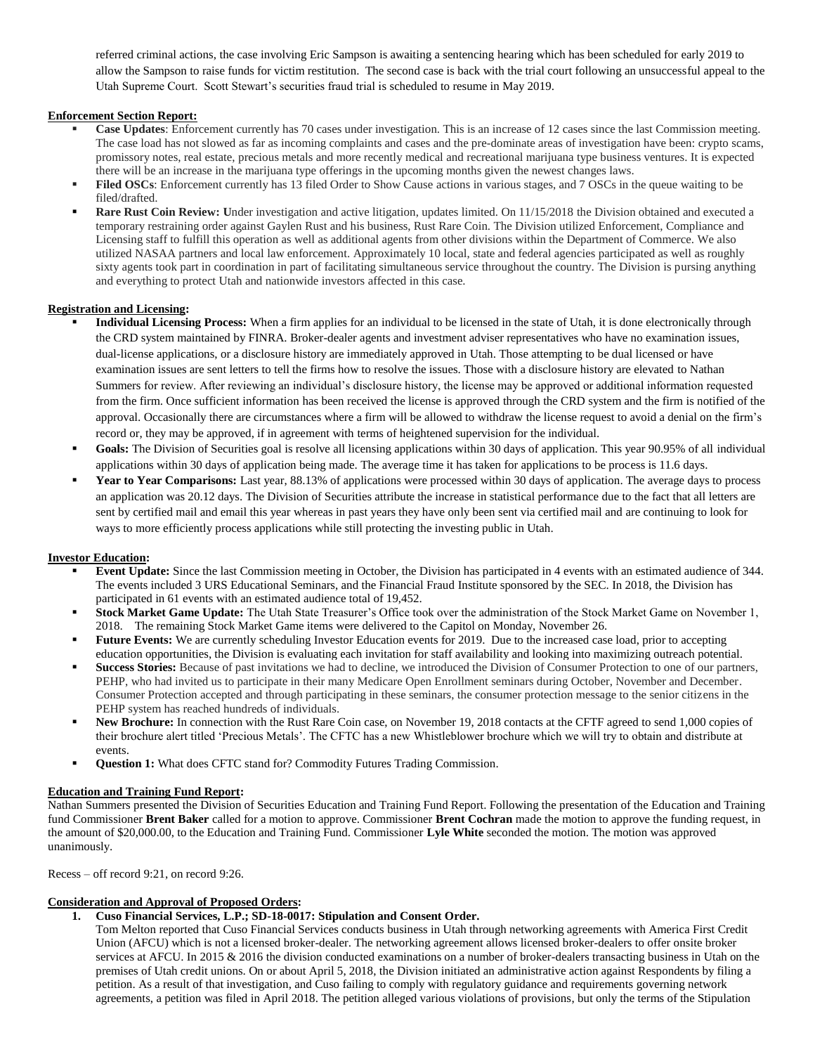referred criminal actions, the case involving Eric Sampson is awaiting a sentencing hearing which has been scheduled for early 2019 to allow the Sampson to raise funds for victim restitution. The second case is back with the trial court following an unsuccessful appeal to the Utah Supreme Court. Scott Stewart's securities fraud trial is scheduled to resume in May 2019.

# **Enforcement Section Report:**

- **Case Updates**: Enforcement currently has 70 cases under investigation. This is an increase of 12 cases since the last Commission meeting. The case load has not slowed as far as incoming complaints and cases and the pre-dominate areas of investigation have been: crypto scams, promissory notes, real estate, precious metals and more recently medical and recreational marijuana type business ventures. It is expected there will be an increase in the marijuana type offerings in the upcoming months given the newest changes laws.
- **Filed OSCs**: Enforcement currently has 13 filed Order to Show Cause actions in various stages, and 7 OSCs in the queue waiting to be filed/drafted.
- **Rare Rust Coin Review: U**nder investigation and active litigation, updates limited. On 11/15/2018 the Division obtained and executed a temporary restraining order against Gaylen Rust and his business, Rust Rare Coin. The Division utilized Enforcement, Compliance and Licensing staff to fulfill this operation as well as additional agents from other divisions within the Department of Commerce. We also utilized NASAA partners and local law enforcement. Approximately 10 local, state and federal agencies participated as well as roughly sixty agents took part in coordination in part of facilitating simultaneous service throughout the country. The Division is pursing anything and everything to protect Utah and nationwide investors affected in this case.

## **Registration and Licensing:**

- **Individual Licensing Process:** When a firm applies for an individual to be licensed in the state of Utah, it is done electronically through the CRD system maintained by FINRA. Broker-dealer agents and investment adviser representatives who have no examination issues, dual-license applications, or a disclosure history are immediately approved in Utah. Those attempting to be dual licensed or have examination issues are sent letters to tell the firms how to resolve the issues. Those with a disclosure history are elevated to Nathan Summers for review. After reviewing an individual's disclosure history, the license may be approved or additional information requested from the firm. Once sufficient information has been received the license is approved through the CRD system and the firm is notified of the approval. Occasionally there are circumstances where a firm will be allowed to withdraw the license request to avoid a denial on the firm's record or, they may be approved, if in agreement with terms of heightened supervision for the individual.
- Goals: The Division of Securities goal is resolve all licensing applications within 30 days of application. This year 90.95% of all individual applications within 30 days of application being made. The average time it has taken for applications to be process is 11.6 days.
- **Year to Year Comparisons:** Last year, 88.13% of applications were processed within 30 days of application. The average days to process an application was 20.12 days. The Division of Securities attribute the increase in statistical performance due to the fact that all letters are sent by certified mail and email this year whereas in past years they have only been sent via certified mail and are continuing to look for ways to more efficiently process applications while still protecting the investing public in Utah.

# **Investor Education:**

- **Event Update:** Since the last Commission meeting in October, the Division has participated in 4 events with an estimated audience of 344. The events included 3 URS Educational Seminars, and the Financial Fraud Institute sponsored by the SEC. In 2018, the Division has participated in 61 events with an estimated audience total of 19,452.
- **Stock Market Game Update:** The Utah State Treasurer's Office took over the administration of the Stock Market Game on November 1, 2018. The remaining Stock Market Game items were delivered to the Capitol on Monday, November 26.
- **Future Events:** We are currently scheduling Investor Education events for 2019. Due to the increased case load, prior to accepting education opportunities, the Division is evaluating each invitation for staff availability and looking into maximizing outreach potential.
- **Success Stories:** Because of past invitations we had to decline, we introduced the Division of Consumer Protection to one of our partners, PEHP, who had invited us to participate in their many Medicare Open Enrollment seminars during October, November and December. Consumer Protection accepted and through participating in these seminars, the consumer protection message to the senior citizens in the PEHP system has reached hundreds of individuals.
- New Brochure: In connection with the Rust Rare Coin case, on November 19, 2018 contacts at the CFTF agreed to send 1,000 copies of their brochure alert titled 'Precious Metals'. The CFTC has a new Whistleblower brochure which we will try to obtain and distribute at events.
- **Question 1:** What does CFTC stand for? Commodity Futures Trading Commission.

### **Education and Training Fund Report:**

Nathan Summers presented the Division of Securities Education and Training Fund Report. Following the presentation of the Education and Training fund Commissioner **Brent Baker** called for a motion to approve. Commissioner **Brent Cochran** made the motion to approve the funding request, in the amount of \$20,000.00, to the Education and Training Fund. Commissioner **Lyle White** seconded the motion. The motion was approved unanimously.

Recess – off record 9:21, on record 9:26.

# **Consideration and Approval of Proposed Orders:**

# **1. Cuso Financial Services, L.P.; SD-18-0017: Stipulation and Consent Order.**

Tom Melton reported that Cuso Financial Services conducts business in Utah through networking agreements with America First Credit Union (AFCU) which is not a licensed broker-dealer. The networking agreement allows licensed broker-dealers to offer onsite broker services at AFCU. In 2015 & 2016 the division conducted examinations on a number of broker-dealers transacting business in Utah on the premises of Utah credit unions. On or about April 5, 2018, the Division initiated an administrative action against Respondents by filing a petition. As a result of that investigation, and Cuso failing to comply with regulatory guidance and requirements governing network agreements, a petition was filed in April 2018. The petition alleged various violations of provisions, but only the terms of the Stipulation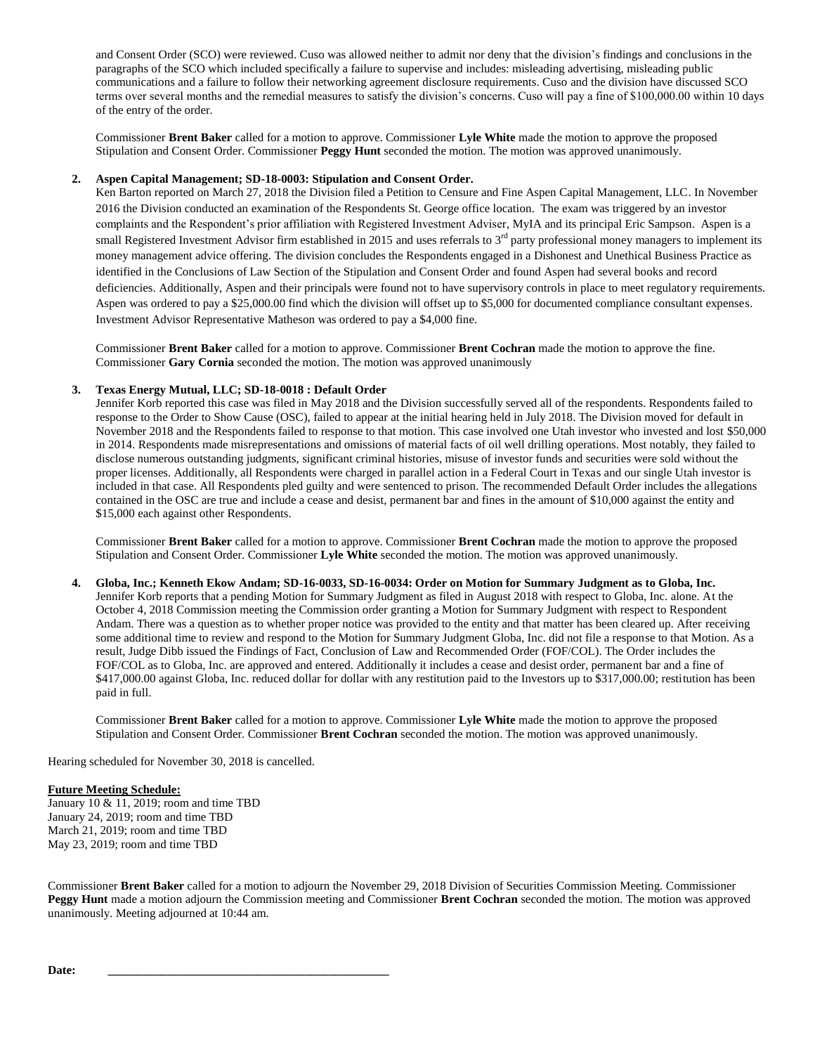and Consent Order (SCO) were reviewed. Cuso was allowed neither to admit nor deny that the division's findings and conclusions in the paragraphs of the SCO which included specifically a failure to supervise and includes: misleading advertising, misleading public communications and a failure to follow their networking agreement disclosure requirements. Cuso and the division have discussed SCO terms over several months and the remedial measures to satisfy the division's concerns. Cuso will pay a fine of \$100,000.00 within 10 days of the entry of the order.

Commissioner **Brent Baker** called for a motion to approve. Commissioner **Lyle White** made the motion to approve the proposed Stipulation and Consent Order. Commissioner **Peggy Hunt** seconded the motion. The motion was approved unanimously.

### **2. Aspen Capital Management; SD-18-0003: Stipulation and Consent Order.**

Ken Barton reported on March 27, 2018 the Division filed a Petition to Censure and Fine Aspen Capital Management, LLC. In November 2016 the Division conducted an examination of the Respondents St. George office location. The exam was triggered by an investor complaints and the Respondent's prior affiliation with Registered Investment Adviser, MyIA and its principal Eric Sampson. Aspen is a small Registered Investment Advisor firm established in 2015 and uses referrals to 3<sup>rd</sup> party professional money managers to implement its money management advice offering. The division concludes the Respondents engaged in a Dishonest and Unethical Business Practice as identified in the Conclusions of Law Section of the Stipulation and Consent Order and found Aspen had several books and record deficiencies. Additionally, Aspen and their principals were found not to have supervisory controls in place to meet regulatory requirements. Aspen was ordered to pay a \$25,000.00 find which the division will offset up to \$5,000 for documented compliance consultant expenses. Investment Advisor Representative Matheson was ordered to pay a \$4,000 fine.

Commissioner **Brent Baker** called for a motion to approve. Commissioner **Brent Cochran** made the motion to approve the fine. Commissioner **Gary Cornia** seconded the motion. The motion was approved unanimously

## **3. Texas Energy Mutual, LLC; SD-18-0018 : Default Order**

Jennifer Korb reported this case was filed in May 2018 and the Division successfully served all of the respondents. Respondents failed to response to the Order to Show Cause (OSC), failed to appear at the initial hearing held in July 2018. The Division moved for default in November 2018 and the Respondents failed to response to that motion. This case involved one Utah investor who invested and lost \$50,000 in 2014. Respondents made misrepresentations and omissions of material facts of oil well drilling operations. Most notably, they failed to disclose numerous outstanding judgments, significant criminal histories, misuse of investor funds and securities were sold without the proper licenses. Additionally, all Respondents were charged in parallel action in a Federal Court in Texas and our single Utah investor is included in that case. All Respondents pled guilty and were sentenced to prison. The recommended Default Order includes the allegations contained in the OSC are true and include a cease and desist, permanent bar and fines in the amount of \$10,000 against the entity and \$15,000 each against other Respondents.

Commissioner **Brent Baker** called for a motion to approve. Commissioner **Brent Cochran** made the motion to approve the proposed Stipulation and Consent Order. Commissioner **Lyle White** seconded the motion. The motion was approved unanimously.

### **4. Globa, Inc.; Kenneth Ekow Andam; SD-16-0033, SD-16-0034: Order on Motion for Summary Judgment as to Globa, Inc.**

Jennifer Korb reports that a pending Motion for Summary Judgment as filed in August 2018 with respect to Globa, Inc. alone. At the October 4, 2018 Commission meeting the Commission order granting a Motion for Summary Judgment with respect to Respondent Andam. There was a question as to whether proper notice was provided to the entity and that matter has been cleared up. After receiving some additional time to review and respond to the Motion for Summary Judgment Globa, Inc. did not file a response to that Motion. As a result, Judge Dibb issued the Findings of Fact, Conclusion of Law and Recommended Order (FOF/COL). The Order includes the FOF/COL as to Globa, Inc. are approved and entered. Additionally it includes a cease and desist order, permanent bar and a fine of \$417,000.00 against Globa, Inc. reduced dollar for dollar with any restitution paid to the Investors up to \$317,000.00; restitution has been paid in full.

Commissioner **Brent Baker** called for a motion to approve. Commissioner **Lyle White** made the motion to approve the proposed Stipulation and Consent Order. Commissioner **Brent Cochran** seconded the motion. The motion was approved unanimously.

Hearing scheduled for November 30, 2018 is cancelled.

### **Future Meeting Schedule:**

January 10 & 11, 2019; room and time TBD January 24, 2019; room and time TBD March 21, 2019; room and time TBD May 23, 2019; room and time TBD

Commissioner **Brent Baker** called for a motion to adjourn the November 29, 2018 Division of Securities Commission Meeting. Commissioner **Peggy Hunt** made a motion adjourn the Commission meeting and Commissioner **Brent Cochran** seconded the motion. The motion was approved unanimously. Meeting adjourned at 10:44 am.

**Date: \_\_\_\_\_\_\_\_\_\_\_\_\_\_\_\_\_\_\_\_\_\_\_\_\_\_\_\_\_\_\_\_\_\_\_\_\_\_\_\_\_\_\_\_\_\_\_**